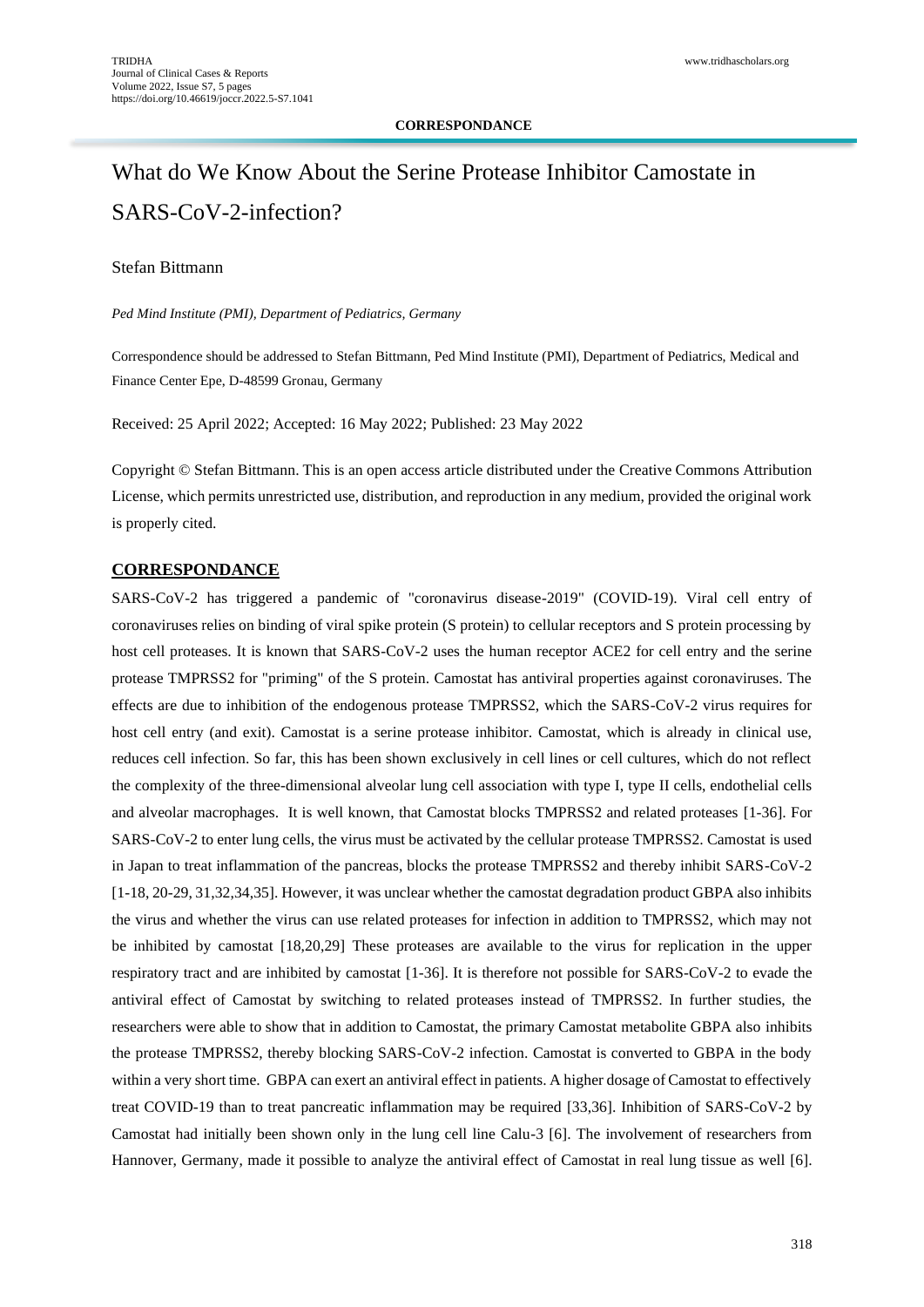## **CORRESPONDANCE**

# What do We Know About the Serine Protease Inhibitor Camostate in SARS-CoV-2-infection?

# Stefan Bittmann

*Ped Mind Institute (PMI), Department of Pediatrics, Germany*

Correspondence should be addressed to Stefan Bittmann, Ped Mind Institute (PMI), Department of Pediatrics, Medical and Finance Center Epe, D-48599 Gronau, Germany

Received: 25 April 2022; Accepted: 16 May 2022; Published: 23 May 2022

Copyright © Stefan Bittmann. This is an open access article distributed under the Creative Commons Attribution License, which permits unrestricted use, distribution, and reproduction in any medium, provided the original work is properly cited.

### **CORRESPONDANCE**

SARS-CoV-2 has triggered a pandemic of "coronavirus disease-2019" (COVID-19). Viral cell entry of coronaviruses relies on binding of viral spike protein (S protein) to cellular receptors and S protein processing by host cell proteases. It is known that SARS-CoV-2 uses the human receptor ACE2 for cell entry and the serine protease TMPRSS2 for "priming" of the S protein. Camostat has antiviral properties against coronaviruses. The effects are due to inhibition of the endogenous protease TMPRSS2, which the SARS-CoV-2 virus requires for host cell entry (and exit). Camostat is a serine protease inhibitor. Camostat, which is already in clinical use, reduces cell infection. So far, this has been shown exclusively in cell lines or cell cultures, which do not reflect the complexity of the three-dimensional alveolar lung cell association with type I, type II cells, endothelial cells and alveolar macrophages. It is well known, that Camostat blocks TMPRSS2 and related proteases [1-36]. For SARS-CoV-2 to enter lung cells, the virus must be activated by the cellular protease TMPRSS2. Camostat is used in Japan to treat inflammation of the pancreas, blocks the protease TMPRSS2 and thereby inhibit SARS-CoV-2 [1-18, 20-29, 31,32,34,35]. However, it was unclear whether the camostat degradation product GBPA also inhibits the virus and whether the virus can use related proteases for infection in addition to TMPRSS2, which may not be inhibited by camostat [18,20,29] These proteases are available to the virus for replication in the upper respiratory tract and are inhibited by camostat [1-36]. It is therefore not possible for SARS-CoV-2 to evade the antiviral effect of Camostat by switching to related proteases instead of TMPRSS2. In further studies, the researchers were able to show that in addition to Camostat, the primary Camostat metabolite GBPA also inhibits the protease TMPRSS2, thereby blocking SARS-CoV-2 infection. Camostat is converted to GBPA in the body within a very short time. GBPA can exert an antiviral effect in patients. A higher dosage of Camostat to effectively treat COVID-19 than to treat pancreatic inflammation may be required [33,36]. Inhibition of SARS-CoV-2 by Camostat had initially been shown only in the lung cell line Calu-3 [6]. The involvement of researchers from Hannover, Germany, made it possible to analyze the antiviral effect of Camostat in real lung tissue as well [6].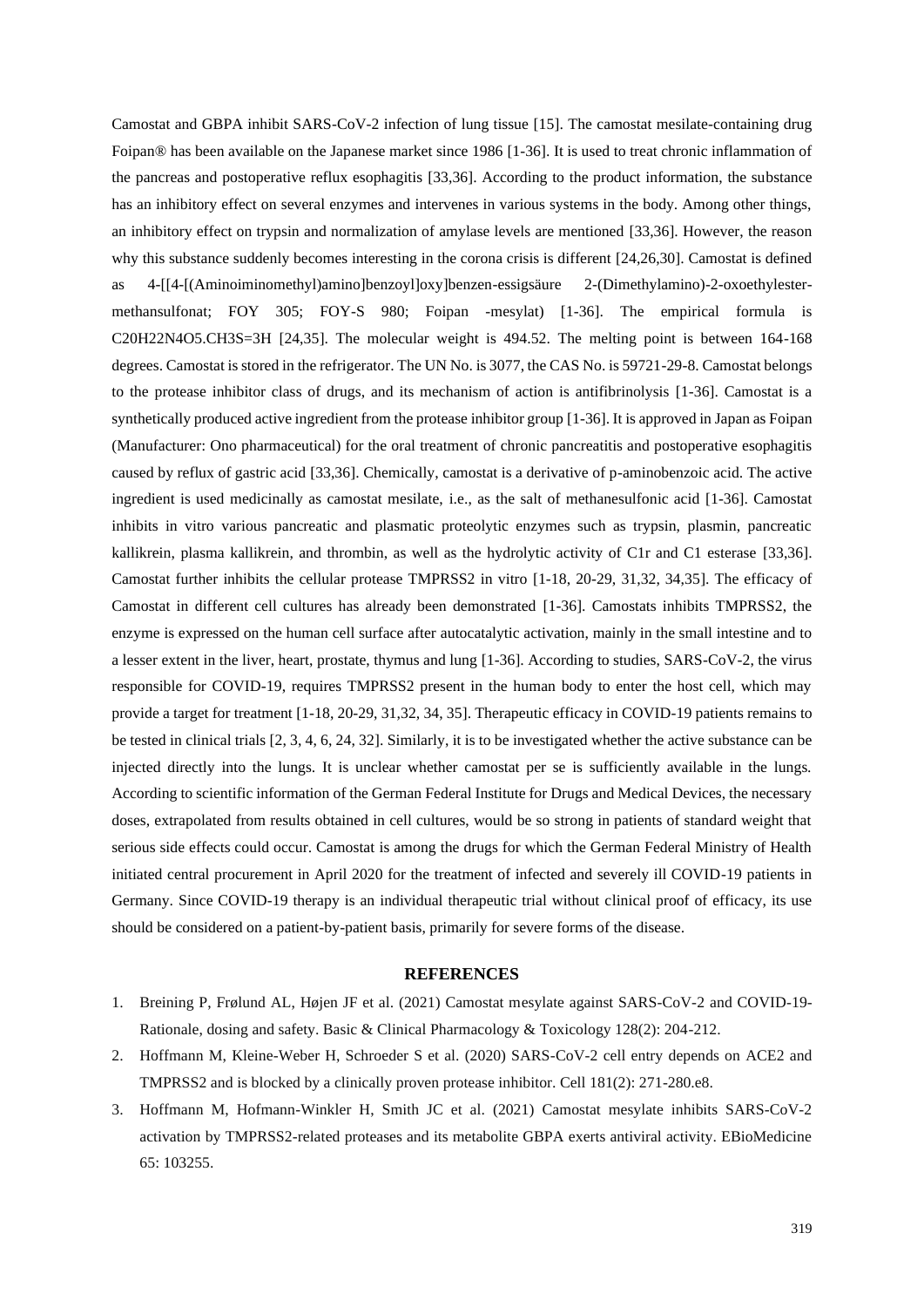Camostat and GBPA inhibit SARS-CoV-2 infection of lung tissue [15]. The camostat mesilate-containing drug Foipan® has been available on the Japanese market since 1986 [1-36]. It is used to treat chronic inflammation of the pancreas and postoperative reflux esophagitis [33,36]. According to the product information, the substance has an inhibitory effect on several enzymes and intervenes in various systems in the body. Among other things, an inhibitory effect on trypsin and normalization of amylase levels are mentioned [33,36]. However, the reason why this substance suddenly becomes interesting in the corona crisis is different [24,26,30]. Camostat is defined as 4-[[4-[(Aminoiminomethyl)amino]benzoyl]oxy]benzen-essigsäure 2-(Dimethylamino)-2-oxoethylestermethansulfonat; FOY 305; FOY-S 980; Foipan -mesylat) [1-36]. The empirical formula is C20H22N4O5.CH3S=3H [24,35]. The molecular weight is 494.52. The melting point is between 164-168 degrees. Camostat is stored in the refrigerator. The UN No. is 3077, the CAS No. is 59721-29-8. Camostat belongs to the protease inhibitor class of drugs, and its mechanism of action is antifibrinolysis [1-36]. Camostat is a synthetically produced active ingredient from the protease inhibitor group [1-36]. It is approved in Japan as Foipan (Manufacturer: Ono pharmaceutical) for the oral treatment of chronic pancreatitis and postoperative esophagitis caused by reflux of gastric acid [33,36]. Chemically, camostat is a derivative of p-aminobenzoic acid. The active ingredient is used medicinally as camostat mesilate, i.e., as the salt of methanesulfonic acid [1-36]. Camostat inhibits in vitro various pancreatic and plasmatic proteolytic enzymes such as trypsin, plasmin, pancreatic kallikrein, plasma kallikrein, and thrombin, as well as the hydrolytic activity of C1r and C1 esterase [33,36]. Camostat further inhibits the cellular protease TMPRSS2 in vitro [1-18, 20-29, 31,32, 34,35]. The efficacy of Camostat in different cell cultures has already been demonstrated [1-36]. Camostats inhibits TMPRSS2, the enzyme is expressed on the human cell surface after autocatalytic activation, mainly in the small intestine and to a lesser extent in the liver, heart, prostate, thymus and lung [1-36]. According to studies, SARS-CoV-2, the virus responsible for COVID-19, requires TMPRSS2 present in the human body to enter the host cell, which may provide a target for treatment [1-18, 20-29, 31,32, 34, 35]. Therapeutic efficacy in COVID-19 patients remains to be tested in clinical trials [2, 3, 4, 6, 24, 32]. Similarly, it is to be investigated whether the active substance can be injected directly into the lungs. It is unclear whether camostat per se is sufficiently available in the lungs. According to scientific information of the German Federal Institute for Drugs and Medical Devices, the necessary doses, extrapolated from results obtained in cell cultures, would be so strong in patients of standard weight that serious side effects could occur. Camostat is among the drugs for which the German Federal Ministry of Health initiated central procurement in April 2020 for the treatment of infected and severely ill COVID-19 patients in Germany. Since COVID-19 therapy is an individual therapeutic trial without clinical proof of efficacy, its use should be considered on a patient-by-patient basis, primarily for severe forms of the disease.

## **REFERENCES**

- 1. [Breining P, Frølund AL, Højen JF et al. \(2021\) Camostat mesylate against SARS-CoV-2 and COVID-19-](https://pubmed.ncbi.nlm.nih.gov/33176395/) [Rationale, dosing and safety. Basic & Clinical Pharmacology & Toxicology 128\(2\): 204-212.](https://pubmed.ncbi.nlm.nih.gov/33176395/)
- 2. [Hoffmann M, Kleine-Weber H, Schroeder S et al. \(2020\) SARS-CoV-2 cell entry depends on ACE2 and](https://pubmed.ncbi.nlm.nih.gov/32142651/)  [TMPRSS2 and is blocked by a clinically proven protease inhibitor. Cell 181\(2\): 271-280.e8.](https://pubmed.ncbi.nlm.nih.gov/32142651/)
- 3. [Hoffmann M, Hofmann-Winkler H, Smith JC](https://pubmed.ncbi.nlm.nih.gov/33676899/) et al. (2021) Camostat mesylate inhibits SARS-CoV-2 [activation by TMPRSS2-related proteases and its metabolite GBPA exerts antiviral activity. EBioMedicine](https://pubmed.ncbi.nlm.nih.gov/33676899/) 65: [103255.](https://pubmed.ncbi.nlm.nih.gov/33676899/)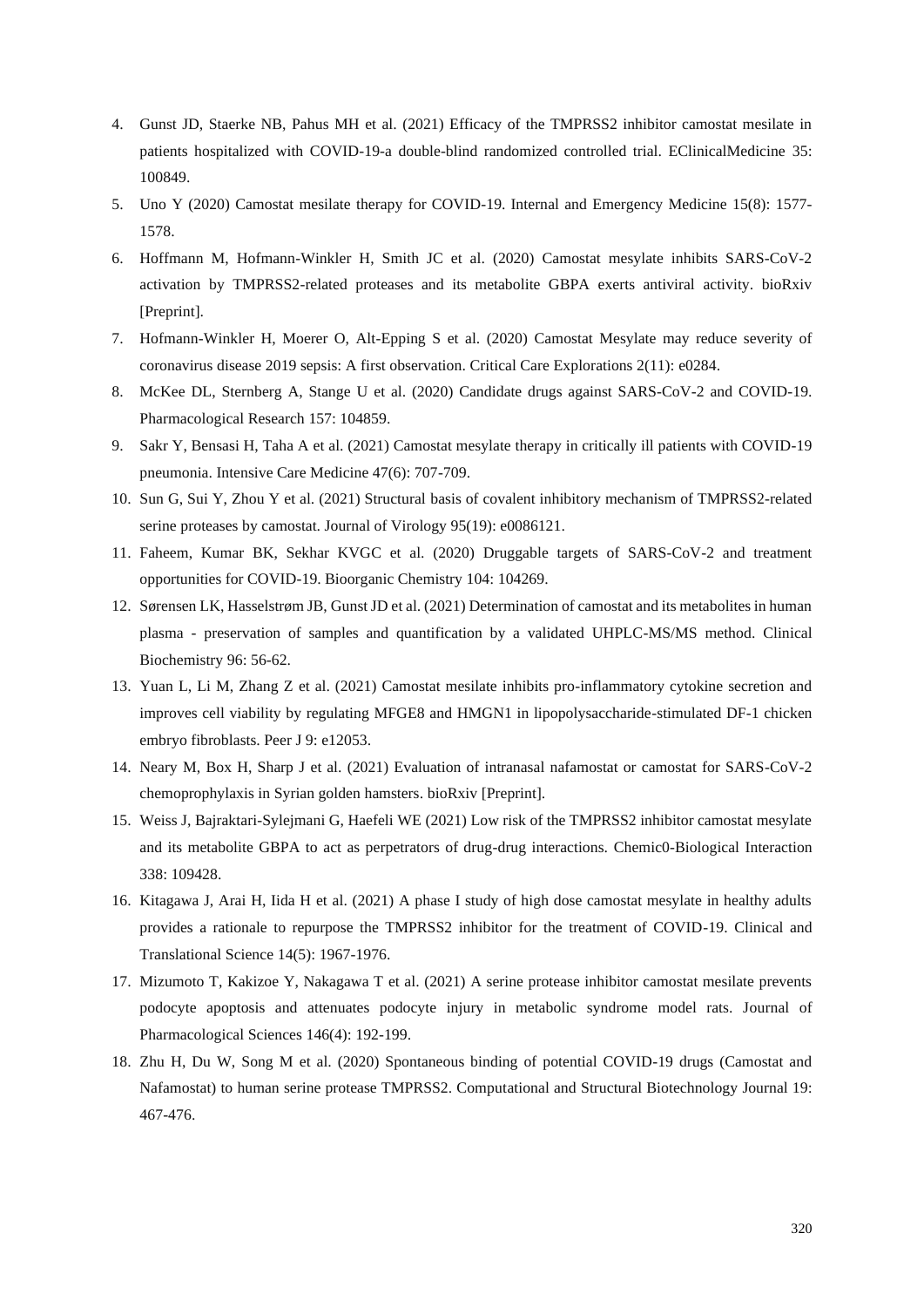- 4. Gunst JD, Staerke NB, Pahus MH et al. (2021) [Efficacy of the TMPRSS2 inhibitor camostat mesilate in](https://pubmed.ncbi.nlm.nih.gov/33903855/)  [patients hospitalized with COVID-19-a double-blind randomized controlled trial. EClinicalMedicine](https://pubmed.ncbi.nlm.nih.gov/33903855/) 35: [100849.](https://pubmed.ncbi.nlm.nih.gov/33903855/)
- 5. Uno Y (2020) [Camostat mesilate therapy for COVID-19. Internal and](https://pubmed.ncbi.nlm.nih.gov/32347443/) Emergency Medicine 15(8): 1577- [1578.](https://pubmed.ncbi.nlm.nih.gov/32347443/)
- 6. [Hoffmann M, Hofmann-Winkler H, Smith JC](https://pubmed.ncbi.nlm.nih.gov/32793911/) et al. (2020) Camostat mesylate inhibits SARS-CoV-2 [activation by TMPRSS2-related proteases and its metabolite GBPA exerts antiviral activity. bioRxiv](https://pubmed.ncbi.nlm.nih.gov/32793911/)  [\[Preprint\].](https://pubmed.ncbi.nlm.nih.gov/32793911/)
- 7. Hofmann-Winkler H, Moerer O, Alt-Epping S [et al. \(2020\) Camostat Mesylate may reduce severity of](https://pubmed.ncbi.nlm.nih.gov/33225308/)  [coronavirus disease 2019 sepsis: A first observation. Critical](https://pubmed.ncbi.nlm.nih.gov/33225308/) Care Explorations 2(11): e0284.
- 8. McKee DL, Sternberg A, Stange U et al. (2020) [Candidate drugs against SARS-CoV-2 and COVID-19.](https://pubmed.ncbi.nlm.nih.gov/32360480/)  [Pharmacological](https://pubmed.ncbi.nlm.nih.gov/32360480/) Research 157: 104859.
- 9. Sakr Y, Bensasi H, Taha A et al. (2021) [Camostat mesylate therapy in critically ill patients with COVID-19](https://pubmed.ncbi.nlm.nih.gov/33846824/)  [pneumonia. Intensive Care Medicine 47\(6\): 707-709.](https://pubmed.ncbi.nlm.nih.gov/33846824/)
- 10. [Sun G, Sui Y, Zhou Y et al. \(2021\) Structural basis of covalent inhibitory mechanism of TMPRSS2-related](https://pubmed.ncbi.nlm.nih.gov/34160253/)  [serine proteases by camostat. Journal of Virology 95\(19\): e0086121.](https://pubmed.ncbi.nlm.nih.gov/34160253/)
- 11. [Faheem, Kumar BK, Sekhar KVGC et al. \(2020\) Druggable targets of SARS-CoV-2 and treatment](https://pubmed.ncbi.nlm.nih.gov/32947136/)  [opportunities for COVID-19. Bioorganic](https://pubmed.ncbi.nlm.nih.gov/32947136/) Chemistry 104: 104269.
- 12. Sørensen LK, Hasselstrøm JB, Gunst JD et al. (2021) [Determination of camostat and its metabolites in human](https://pubmed.ncbi.nlm.nih.gov/34252447/)  plasma - [preservation of samples and quantification by a validated UHPLC-MS/MS method. Clinical](https://pubmed.ncbi.nlm.nih.gov/34252447/) [Biochemistry 96:](https://pubmed.ncbi.nlm.nih.gov/34252447/) 56-62.
- 13. [Yuan L, Li M, Zhang Z et al. \(2021\) Camostat mesilate inhibits pro-inflammatory cytokine secretion and](https://pubmed.ncbi.nlm.nih.gov/34527443/)  [improves cell viability by regulating MFGE8 and HMGN1 in lipopolysaccharide-stimulated DF-1 chicken](https://pubmed.ncbi.nlm.nih.gov/34527443/)  [embryo fibroblasts. Peer](https://pubmed.ncbi.nlm.nih.gov/34527443/) J 9: e12053.
- 14. Neary M, Box H, Sharp J et al. (2021) [Evaluation of intranasal nafamostat or camostat for SARS-CoV-2](https://www.biorxiv.org/content/10.1101/2021.07.08.451654v1.article-info)  [chemoprophylaxis in Syrian golden hamsters. bioRxiv \[Preprint\].](https://www.biorxiv.org/content/10.1101/2021.07.08.451654v1.article-info)
- 15. Weiss J, Bajraktari-Sylejmani G, Haefeli WE (2021) [Low risk of the TMPRSS2 inhibitor camostat mesylate](https://pubmed.ncbi.nlm.nih.gov/33647240/)  [and its metabolite GBPA to act as perpetrators of drug-drug interactions.](https://pubmed.ncbi.nlm.nih.gov/33647240/) Chemic0-Biological Interaction 338: [109428.](https://pubmed.ncbi.nlm.nih.gov/33647240/)
- 16. Kitagawa J, Arai H, Iida H et al. (2021) [A phase I study of high dose camostat mesylate in healthy adults](https://pubmed.ncbi.nlm.nih.gov/33982445/)  [provides a rationale to repurpose the TMPRSS2 inhibitor for the treatment of COVID-19. Clinical and](https://pubmed.ncbi.nlm.nih.gov/33982445/) Translational [Science 14\(5\):](https://pubmed.ncbi.nlm.nih.gov/33982445/) 1967-1976.
- 17. Mizumoto T, Kakizoe Y, Nakagawa T et al. (2021) [A serine protease inhibitor camostat mesilate prevents](https://pubmed.ncbi.nlm.nih.gov/34116732/)  [podocyte apoptosis and attenuates podocyte injury in metabolic syndrome model rats. Journal of](https://pubmed.ncbi.nlm.nih.gov/34116732/) [Pharmacological](https://pubmed.ncbi.nlm.nih.gov/34116732/) Sciences 146(4): 192-199.
- 18. Zhu H, Du W, Song M et al. (2020) [Spontaneous binding of potential COVID-19 drugs \(Camostat and](https://pubmed.ncbi.nlm.nih.gov/33505639/)  [Nafamostat\) to human serine protease TMPRSS2. Computational and](https://pubmed.ncbi.nlm.nih.gov/33505639/) Structural Biotechnology Journal 19: [467-476.](https://pubmed.ncbi.nlm.nih.gov/33505639/)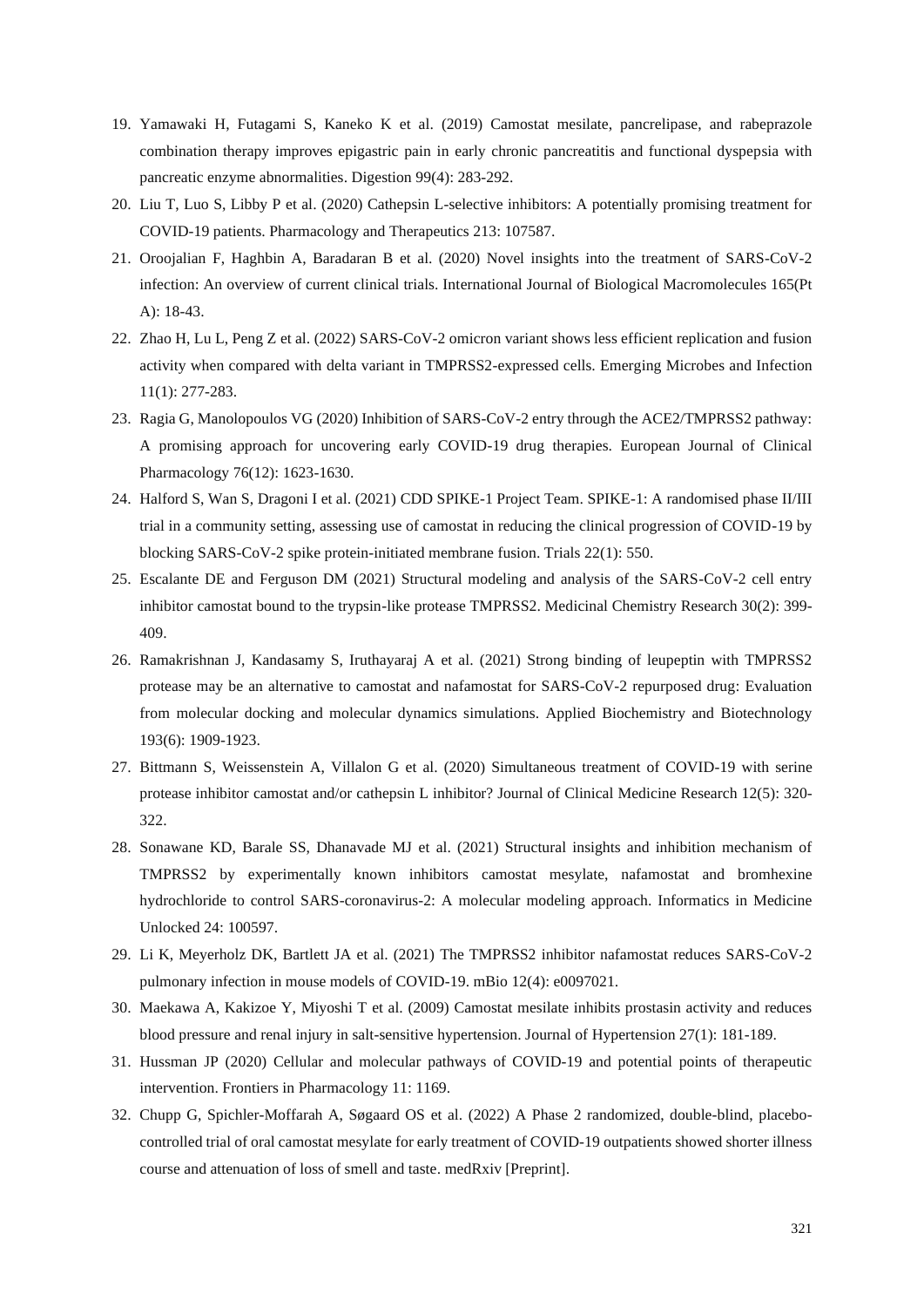- 19. Yamawaki H, Futagami S, Kaneko K et al. (2019) [Camostat mesilate, pancrelipase, and rabeprazole](https://pubmed.ncbi.nlm.nih.gov/30391941/)  [combination therapy improves epigastric pain in early chronic pancreatitis and functional dyspepsia with](https://pubmed.ncbi.nlm.nih.gov/30391941/)  [pancreatic enzyme abnormalities. Digestion](https://pubmed.ncbi.nlm.nih.gov/30391941/) 99(4): 283-292.
- 20. Liu T, Luo S, Libby P et al. (2020) [Cathepsin L-selective inhibitors: A potentially promising treatment for](https://pubmed.ncbi.nlm.nih.gov/32470470/)  [COVID-19 patients. Pharmacology and](https://pubmed.ncbi.nlm.nih.gov/32470470/) Therapeutics 213: 107587.
- 21. Oroojalian F, Haghbin A, Baradaran B et al. (2020) [Novel insights into the treatment of SARS-CoV-2](https://pubmed.ncbi.nlm.nih.gov/32991900/)  [infection: An overview of current clinical trials. International Journal of](https://pubmed.ncbi.nlm.nih.gov/32991900/) Biological Macromolecules 165(Pt A): [18-43.](https://pubmed.ncbi.nlm.nih.gov/32991900/)
- 22. Zhao H, Lu L, Peng Z et al. (2022) [SARS-CoV-2 omicron variant shows less efficient replication and fusion](https://pubmed.ncbi.nlm.nih.gov/34951565/)  [activity when compared with delta variant in TMPRSS2-expressed cells. Emerging](https://pubmed.ncbi.nlm.nih.gov/34951565/) Microbes and Infection 11(1): [277-283.](https://pubmed.ncbi.nlm.nih.gov/34951565/)
- 23. Ragia G, Manolopoulos VG (2020) [Inhibition of SARS-CoV-2 entry through the ACE2/TMPRSS2 pathway:](https://pubmed.ncbi.nlm.nih.gov/32696234/)  A [promising approach for uncovering early COVID-19 drug therapies. European](https://pubmed.ncbi.nlm.nih.gov/32696234/) Journal of Clinical [Pharmacology 76\(12\):](https://pubmed.ncbi.nlm.nih.gov/32696234/) 1623-1630.
- 24. [Halford S, Wan S, Dragoni I et al. \(2021\) CDD SPIKE-1 Project Team. SPIKE-1: A randomised phase II/III](https://pubmed.ncbi.nlm.nih.gov/34412682/)  [trial in a community setting, assessing use of camostat in reducing the clinical progression of COVID-19 by](https://pubmed.ncbi.nlm.nih.gov/34412682/)  [blocking SARS-CoV-2 spike protein-initiated membrane fusion. Trials](https://pubmed.ncbi.nlm.nih.gov/34412682/) 22(1): 550.
- 25. Escalante DE and Ferguson DM (2021) [Structural modeling and analysis of the SARS-CoV-2 cell entry](https://pubmed.ncbi.nlm.nih.gov/33564221/)  [inhibitor camostat bound to the trypsin-like protease TMPRSS2. Medicinal](https://pubmed.ncbi.nlm.nih.gov/33564221/) Chemistry Research 30(2): 399- [409.](https://pubmed.ncbi.nlm.nih.gov/33564221/)
- 26. [Ramakrishnan J, Kandasamy S, Iruthayaraj A](https://pubmed.ncbi.nlm.nih.gov/33512650/) et al. (2021) Strong binding of leupeptin with TMPRSS2 [protease may be an alternative to camostat and nafamostat for SARS-CoV-2 repurposed drug: Evaluation](https://pubmed.ncbi.nlm.nih.gov/33512650/)  [from molecular docking and molecular dynamics simulations. Applied](https://pubmed.ncbi.nlm.nih.gov/33512650/) Biochemistry and Biotechnology 193(6): [1909-1923.](https://pubmed.ncbi.nlm.nih.gov/33512650/)
- 27. Bittmann S, Weissenstein A, Villalon G et al. (2020) [Simultaneous treatment of COVID-19 with serine](https://pubmed.ncbi.nlm.nih.gov/32489508/)  [protease inhibitor camostat and/or cathepsin L inhibitor? Journal of](https://pubmed.ncbi.nlm.nih.gov/32489508/) Clinical Medicine Research 12(5): 320- [322.](https://pubmed.ncbi.nlm.nih.gov/32489508/)
- 28. Sonawane KD, Barale SS, Dhanavade MJ et al. (2021) [Structural insights and inhibition mechanism of](https://pubmed.ncbi.nlm.nih.gov/34075338/)  [TMPRSS2 by experimentally known inhibitors camostat mesylate, nafamostat and bromhexine](https://pubmed.ncbi.nlm.nih.gov/34075338/)  [hydrochloride to control SARS-coronavirus-2: A molecular modeling approach. Informatics in](https://pubmed.ncbi.nlm.nih.gov/34075338/) Medicine [Unlocked](https://pubmed.ncbi.nlm.nih.gov/34075338/) 24: 100597.
- 29. Li K, Meyerholz DK, Bartlett JA et al. (2021) [The TMPRSS2 inhibitor nafamostat reduces SARS-CoV-2](https://pubmed.ncbi.nlm.nih.gov/34340553/)  [pulmonary infection in mouse models of COVID-19. mBio](https://pubmed.ncbi.nlm.nih.gov/34340553/) 12(4): e0097021.
- 30. Maekawa A, Kakizoe Y, Miyoshi T et al. (2009) [Camostat mesilate inhibits prostasin activity and reduces](https://pubmed.ncbi.nlm.nih.gov/19145783/)  [blood pressure and renal injury in salt-sensitive hypertension. Journal of](https://pubmed.ncbi.nlm.nih.gov/19145783/) Hypertension 27(1): 181-189.
- 31. Hussman JP (2020) [Cellular and molecular pathways of COVID-19 and potential points of therapeutic](https://pubmed.ncbi.nlm.nih.gov/32848776/)  [intervention. Frontiers in](https://pubmed.ncbi.nlm.nih.gov/32848776/) Pharmacology 11: 1169.
- 32. Chupp G, Spichler-Moffarah A, Søgaard OS et al. (2022) [A Phase 2 randomized, double-blind, placebo](https://pubmed.ncbi.nlm.nih.gov/35132421/)[controlled trial of oral camostat mesylate for early treatment of COVID-19 outpatients showed shorter illness](https://pubmed.ncbi.nlm.nih.gov/35132421/)  [course and attenuation of loss of smell and taste. medRxiv \[Preprint\].](https://pubmed.ncbi.nlm.nih.gov/35132421/)